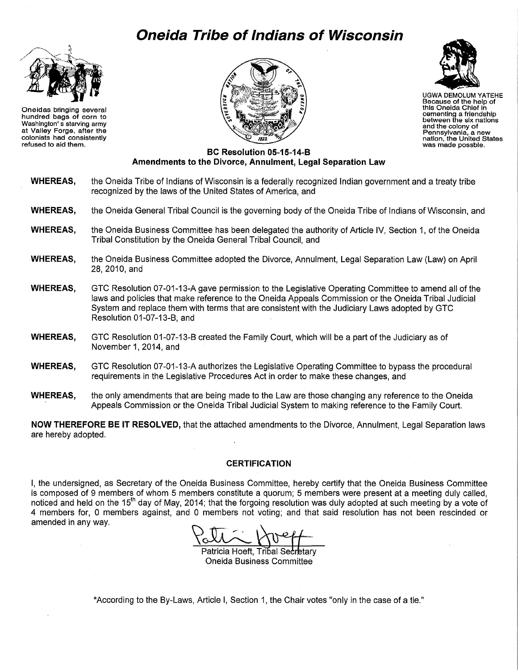# **Oneida Tribe of Indians of Wisconsin**



Oneidas bringing several hundred bags of corn to Washington' s starving army at Valley Forge, after the colonists had consistently refused to aid them.





UGWA DEMOLUM YATEHE Because of the help of this Oneida Chief In cementing a friendship between the six nations and the colony of Pennsylvaniá, a new<br>nation, the United States<br>was made possble.

## **BC Resolution 05-15-14-B Amendments to the Divorce, Annulment, Legal Separation Law**

- **WHEREAS,** the Oneida Tribe of Indians of Wisconsin is a federally recognized Indian government and a treaty tribe recognized by the laws of the United States of America, and
- **WHEREAS,** the Oneida General Tribal Council is the governing body of the Oneida Tribe of Indians of Wisconsin, and
- **WHEREAS,** the Oneida Business Committee has been delegated the authority of Article IV, Section 1, of the Oneida Tribal Constitution by the Oneida General Tribal Council, and
- **WHEREAS,** the Oneida Business Committee adopted the Divorce, Annulment, Legal Separation Law (Law) on April 28,2010,and
- **WHEREAS,** GTC Resolution 07-01-13-A gave permission to the Legislative Operating Committee to amend all of the laws and policies that make reference to the Oneida Appeals Commission or the Oneida Tribal Judicial System and replace them with terms that are consistent with the Judiciary Laws adopted by GTC Resolution 01-07-13-B, and
- **WHEREAS,** GTC Resolution 01-07-13-B created the Family Court, which will be a part of the Judiciary as of November 1, 2014, and
- **WHEREAS,** GTC Resolution 07-01-13-A authorizes the Legislative Operating Committee to bypass the procedural requirements in the Legislative Procedures Act in order to make these changes, and
- **WHEREAS,** the only amendments that are being made to the Law are those changing any reference to the Oneida Appeals Commission or the Oneida Tribal Judicial System to making reference to the Family Court.

**NOW THEREFORE BE IT RESOLVED,** that the attached amendments to the Divorce, Annulment, Legal Separation laws are hereby adopted.

## **CERTIFICATION**

I, the undersigned, as Secretary of the Oneida Business Committee, hereby certify that the Oneida Business Committee is composed of 9 members of whom 5 members constitute a quorum; 5 members were present at a meeting duly called, noticed and held on the 15<sup>th</sup> day of May, 2014; that the forgoing resolution was duly adopted at such meeting by a vote of 4 members for, 0 members against, and 0 members not voting; and that said resolution has not been rescinded or amended in any way.

Patricia Hoeft, Tribal Secretary **Oneida Business Committee** 

\*According to the By-Laws, Article I, Section 1, the Chair votes "only in the case of a tie."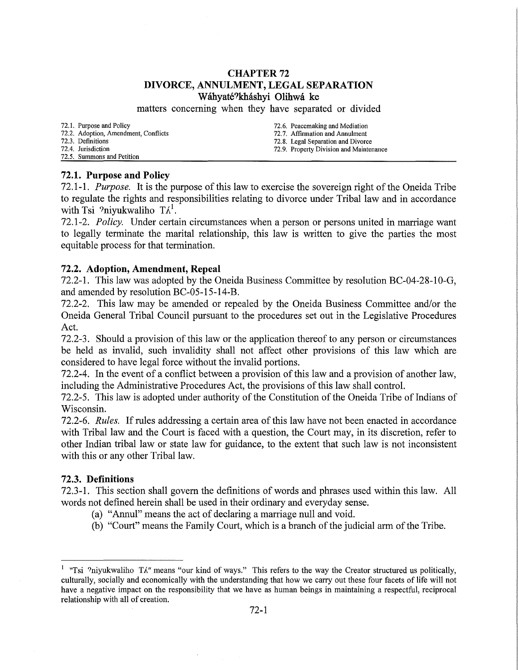## **CHAPTER 72 DIVORCE, ANNULMENT, LEGAL SEPARATION Wahyate?k:hashyi Olihwa ke**

matters concerning when they have separated or divided

72.1. Purpose and Policy

72.2. Adoption, Amendment, Conflicts

- 72.3. Definitions
- 72.4. Jurisdiction 72.5. Summons and Petition
- 72.6. Peacemaking and Mediation 72.7. Affirmation and Annulment 72.8. Legal Separation and Divorce
- 72.9. Property Division and Maintenance

# **72.1. Purpose and Policy**

72.1-1. *Purpose.* It is the purpose of this law to exercise the sovereign right of the Oneida Tribe to regulate the rights and responsibilities relating to divorce under Tribal law and in accordance with Tsi ?niyukwaliho  $T\Lambda^1$ .

72.1-2. *Policy.* Under certain circumstances when a person or persons united in marriage want to legally terminate the marital relationship, this law is written to give the parties the most equitable process for that termination.

# **72.2. Adoption, Amendment, Repeal**

72.2-1. This law was adopted by the Oneida Business Committee by resolution BC-04-28-10-G, and amended by resolution BC-05-15-14-B.

72.2-2. This law may be amended or repealed by the Oneida Business Committee and/or the Oneida General Tribal Council pursuant to the procedures set out in the Legislative Procedures Act.

72.2-3. Should a provision of this law or the application thereof to any person or circumstances be held as invalid, such invalidity shall not affect other provisions of this law which are considered to have legal force without the invalid portions.

72.2-4. In the event of a conflict between a provision of this law and a provision of another law, including the Administrative Procedures Act, the provisions of this law shall control.

72.2-5. This law is adopted under authority of the Constitution of the Oneida Tribe of Indians of Wisconsin.

72.2-6. *Rules.* If rules addressing a certain area of this law have not been enacted in accordance with Tribal law and the Court is faced with a question, the Court may, in its discretion, refer to other Indian tribal law or state law for guidance, to the extent that such law is not inconsistent with this or any other Tribal law.

# **72.3. Definitions**

72.3-1. This section shall govern the definitions of words and phrases used within this law. All words not defined herein shall be used in their ordinary and everyday sense.

- (a) "Annul" means the act of declaring a marriage null and void.
- (b) "Court" means the Family Court, which is a branch of the judicial arm of the Tribe.

<sup>&</sup>lt;sup>1</sup> "Tsi ?niyukwaliho TA" means "our kind of ways." This refers to the way the Creator structured us politically, culturally, socially and economically with the understanding that how we carry out these four facets of life will not have a negative impact on the responsibility that we have as human beings in maintaining a respectful, reciprocal relationship with all of creation.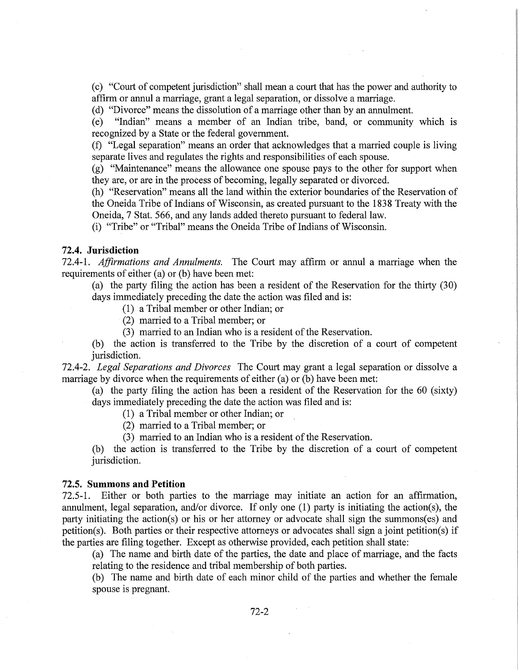(c) "Court of competent jurisdiction" shall mean a court that has the power and authority to affirm or annul a marriage, grant a legal separation, or dissolve a marriage.

(d) "Divorce" means the dissolution of a marriage other than by an annulment.

(e) "Indian" means a member of an Indian tribe, band, or community which is recognized by a State or the federal government.

(f) "Legal separation" means an order that acknowledges that a married couple is living separate lives and regulates the rights and responsibilities of each spouse.

(g) "Maintenance" means the allowance one spouse pays to the other for support when they are, or are in the process of becoming, legally separated or divorced.

(h) "Reservation" means all the land within the exterior boundaries of the Reservation of the Oneida Tribe of Indians of Wisconsin, as created pursuant to the 1838 Treaty with the Oneida, 7 Stat. 566, and any lands added thereto pursuant to federal law.

(i) "Tribe" or "Tribal" means the Oneida Tribe of Indians of Wisconsin.

#### **72.4. Jurisdiction**

72.4-1. *Affirmations and Annulments.* The Court may affirm or annul a marriage when the requirements of either (a) or (b) have been met:

(a) the party filing the action has been a resident of the Reservation for the thirty (30) days immediately preceding the date the action was filed and is:

(1) a Tribal member or other Indian; or

(2) married to a Tribal member; or

(3) married to an Indian who is a resident of the Reservation.

(b) the action is transferred to the Tribe by the discretion of a court of competent jurisdiction.

72.4-2. *Legal Separations and Divorces* The Court may grant a legal separation or dissolve a marriage by divorce when the requirements of either (a) or (b) have been met:

(a) the party filing the action has been a resident of the Reservation for the 60 (sixty) days immediately preceding the date the action was filed and is:

(1) a Tribal member or other Indian; or

(2) married to a Tribal member; or

(3) married to an Indian who is a resident of the Reservation.

(b) the action is transferred to the Tribe by the discretion of a court of competent jurisdiction.

#### **72.5. Summons and Petition**

72.5-1. Either or both parties to the marriage may initiate an action for an affirmation, annulment, legal separation, and/or divorce. If only one (1) party is initiating the action(s), the party initiating the action( $s$ ) or his or her attorney or advocate shall sign the summons( $es$ ) and petition(s). Both parties or their respective attorneys or advocates shall sign a joint petition(s) if the parties are filing together. Except as otherwise provided, each petition shall state:

(a) The name and birth date of the parties, the date and place of marriage, and the facts relating to the residence and tribal membership of both parties.

(b) The name and birth date of each minor child of the parties and whether the female spouse is pregnant.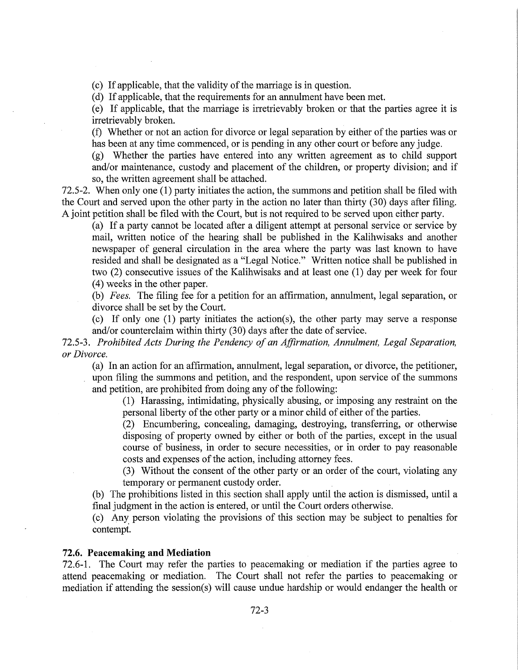(c) If applicable, that the validity of the marriage is in question.

(d) If applicable, that the requirements for an annulment have been met.

(e) If applicable, that the marriage is irretrievably broken or that the parties agree it is irretrievably broken.

(f) Whether or not an action for divorce or legal separation by either of the parties was or has been at any time commenced, or is pending in any other court or before any judge.

(g) Whether the parties have entered into any written agreement as to child support and/or maintenance, custody and placement of the children, or property division; and if so, the written agreement shall be attached.

72.5-2. When only one (1) party initiates the action, the summons and petition shall be filed with the Court and served upon the other party in the action no later than thirty (30) days after filing. A joint petition shall be filed with the Court, but is not required to be served upon either party.

(a) If a party cannot be located after a diligent attempt at personal service or service by mail, written notice of the hearing shall be published in the Kalihwisaks and another newspaper of general circulation in the area where the party was last known to have resided and shall be designated as a "Legal Notice." Written notice shall be published in two (2) consecutive issues of the Kalihwisaks and at least one (1) day per week for four (4) weeks in the other paper.

(b) *Fees.* The filing fee for a petition for an affirmation, annulment, legal separation, or divorce shall be set by the Court.

(c) If only one (1) party initiates the action(s), the other party may serve a response and/or counterclaim within thirty (30) days after the date of service.

72.5-3. *Prohibited Acts During the Pendency of an Affirmation, Annulment, Legal Separation, or Divorce.* 

(a) In an action for an affirmation, annulment, legal separation, or divorce, the petitioner, upon filing the summons and petition, and the respondent, upon service of the summons and petition, are prohibited from doing any of the following:

(1) Harassing, intimidating, physically abusing, or imposing any restraint on the personal liberty of the other party or a minor child of either of the parties.

(2) Encumbering, concealing, damaging, destroying, transferring, or otherwise disposing of property owned by either or both of the parties, except in the usual course of business, in order to secure necessities, or in order to pay reasonable costs and expenses of the action, including attorney fees.

(3) Without the consent of the other party or an order of the court, violating any temporary or permanent custody order.

(b) The prohibitions listed in this section shall apply until the action is dismissed, until a final judgment in the action is entered, or until the Court orders otherwise.

(c) Any. person violating the provisions of this section may be subject to penalties for contempt.

#### **72.6. Peacemaking and Mediation**

72.6-1. The Court may refer the parties to peacemaking or mediation if the parties agree to attend peacemaking or mediation. The Court shall not refer the parties to peacemaking or mediation if attending the session(s) will cause undue hardship or would endanger the health or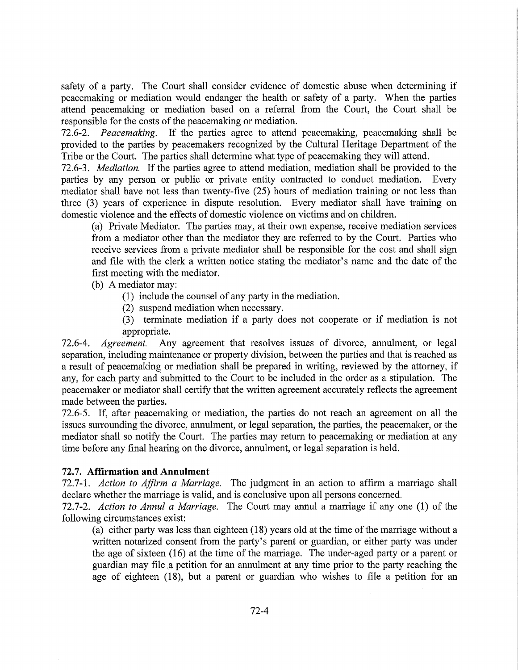safety of a party. The Court shall consider evidence of domestic abuse when determining if peacemaking or mediation would endanger the health or safety of a party. When the parties attend peacemaking or mediation based on a referral from the Court, the Court shall be responsible for the costs of the peacemaking or mediation.

72.6-2. *Peacemaking.* If the parties agree to attend peacemaking, peacemaking shall be provided to the parties by peacemakers recognized by the Cultural Heritage Department of the Tribe or the Court. The parties shall determine what type of peacemaking they will attend.

72.6-3. *Mediation.* If the parties agree to attend mediation, mediation shall be provided to the parties by any person or public or private entity contracted to conduct mediation. Every mediator shall have not less than twenty-five (25) hours of mediation training or not less than three (3) years of experience in dispute resolution. Every mediator shall have training on domestic violence and the effects of domestic violence on victims and on children.

(a) Private Mediator. The parties may, at their own expense, receive mediation services from a mediator other than the mediator they are referred to by the Court. Parties who receive services from a private mediator shall be responsible for the cost and shall sign and file with the clerk a written notice stating the mediator's name and the date of the first meeting with the mediator.

(b) A mediator may:

- (1) include the counsel of any party in the mediation.
- (2) suspend mediation when necessary.
- (3) terminate mediation if a party does not cooperate or if mediation is not appropriate.

72.6-4. *Agreement.* Any agreement that resolves issues of divorce, annulment, or legal separation, including maintenance or property division, between the parties and that is reached as a result of peacemaking or mediation shall be prepared in writing, reviewed by the attorney, if any, for each party and submitted to the Court to be included in the order as a stipulation. The peacemaker or mediator shall certify that the written agreement accurately reflects the agreement made between the parties.

72.6-5. If, after peacemaking or mediation, the parties do not reach an agreement on all the issues surrounding the divorce, annulment, or legal separation, the parties, the peacemaker, or the mediator shall so notify the Court. The parties may return to peacemaking or mediation at any time before any final hearing on the divorce, annulment, or legal separation is held.

# **72.7. Affirmation and Annulment**

72.7-1. *Action to Affirm a Marriage.* The judgment in an action to affirm a marriage shall declare whether the marriage is valid, and is conclusive upon all persons concerned.

72.7-2. *Action to Annul a Marriage.* The Court may annul a marriage if any one (1) of the following circumstances exist:

(a) either party was less than eighteen (18) years old at the time of the marriage without a written notarized consent from the party's parent or guardian, or either party was under the age of sixteen (16) at the time of the marriage. The under-aged party or a parent or guardian may file a petition for an annulment at any time prior to the party reaching the age of eighteen (18), but a parent or guardian who wishes to file a petition for an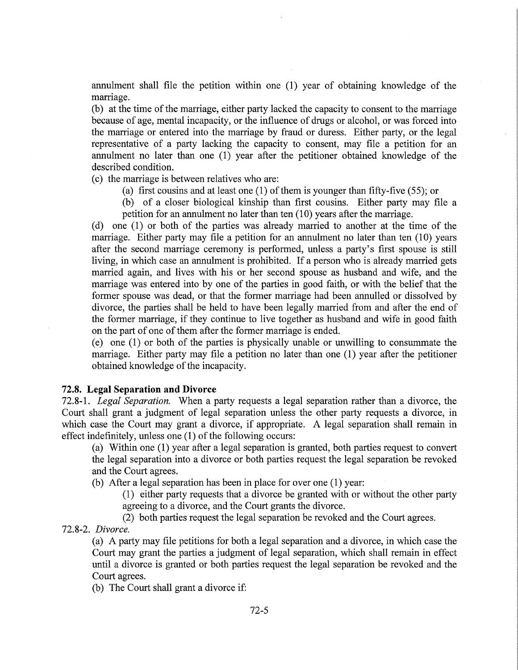annulment shall file the petition within one (1) year of obtaining knowledge of the marriage.

(b) at the time of the marriage, either party lacked the capacity to consent to the marriage because of age, mental incapacity, or the influence of drugs or alcohol, or was forced into the marriage or entered into the marriage by fraud or duress. Either party, or the legal representative of a party lacking the capacity to consent, may file a petition for an annulment no later than one (1) year after the petitioner obtained knowledge of the described condition.

(c) the marriage is between relatives who are:

(a) first cousins and at least one (1) of them is younger than fifty-five (55); or

(b) of a closer biological kinship than first cousins. Either party may file a petition for an annulment no later than ten  $(10)$  years after the marriage.

(d) one (1) or both of the parties was already married to another at the time of the marriage. Either party may file a petition for an annulment no later than ten  $(10)$  years after the second marriage ceremony is performed, unless a party's first spouse is still living, in which case an annulment is prohibited. If a person who is already married gets married again, and lives with his or her second spouse as husband and wife, and the marriage was entered into by one of the parties in good faith, or with the belief that the former spouse was dead, or that the former marriage had been annulled or dissolved by divorce, the parties shall be held to have been legally married from and after the end of the former marriage, if they continue to live together as husband and wife in good faith on the part of one of them after the former marriage is ended.

(e) one (1) or both of the parties is physically unable or unwilling to consummate the marriage. Either party may file a petition no later than one (1) year after the petitioner obtained knowledge of the incapacity.

## **72.8. Legal Separation and Divorce**

72.8-1. *Legal Separation.* When a party requests a legal separation rather than a divorce, the Court shall grant a judgment of legal separation unless the other party requests a divorce, in which case the Court may grant a divorce, if appropriate. A legal separation shall remain in effect indefinitely, unless one (1) of the following occurs:

(a) Within one (1) year after a legal separation is granted, both parties request to convert the legal separation into a divorce or both parties request the legal separation be revoked and the Court agrees.

(b) After a legal separation has been in place for over one (1) year:

(1) either party requests that a divorce be granted with or without the other party agreeing to a divorce, and the Court grants the divorce.

(2) both parties request the legal separation be revoked and the Court agrees.

72.8-2. *Divorce.* 

(a) A party may file petitions for both a legal separation and a divorce, in which case the Court may grant the parties a judgment of legal separation, which shall remain in effect until a divorce is granted or both parties request the legal separation be revoked and the Court agrees.

(b) The Court shall grant a divorce if: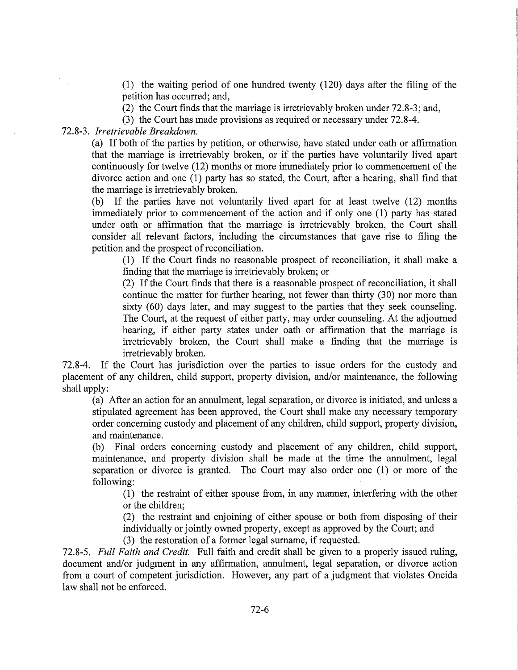(1) the waiting period of one hundred twenty (120) days after the filing of the petition has occurred; and,

(2) the Court finds that the marriage is irretrievably broken under 72.8-3; and,

(3) the Court has made provisions as required or necessary under 72.8-4.

72.8-3. *Irretrievable Breakdown.* 

(a) If both of the parties by petition, or otherwise, have stated under oath or affirmation that the marriage is irretrievably broken, or if the parties have voluntarily lived apart continuously for twelve (12) months or more immediately prior to commencement of the divorce action and one (1) party has so stated, the Court, after a hearing, shall find that the marriage is irretrievably broken.

(b) If the parties have not voluntarily lived apart for at least twelve (12) months immediately prior to commencement of the action and if only one (1) party has stated under oath or affirmation that the marriage is irretrievably broken, the Court shall consider all relevant factors, including the circumstances that gave rise to filing the petition and the prospect of reconciliation.

(1) If the Court finds no reasonable prospect of reconciliation, it shall make a finding that the marriage is irretrievably broken; or

(2) If the Court finds that there is a reasonable prospect of reconciliation, it shall continue the matter for further hearing, not fewer than thirty (30) nor more than sixty (60) days later, and may suggest to the parties that they seek counseling. The Court, at the request of either party, may order counseling. At the adjourned hearing, if either party states under oath or affirmation that the marriage is irretrievably broken, the Court shall make a finding that the marriage is irretrievably broken.

72.8-4. If the Court has jurisdiction over the parties to issue orders for the custody and placement of any children, child support, property division, and/or maintenance, the following shall apply:

(a) After an action for an annulment, legal separation, or divorce is initiated, and unless a stipulated agreement has been approved, the Court shall make any necessary temporary order concerning custody and placement of any children, child support, property division, and maintenance.

(b) Final orders concerning custody and placement of any children, child support, maintenance, and property division shall be made at the time the annulment, legal separation or divorce is granted. The Court may also order one (1) or more of the following:

(1) the restraint of either spouse from, in any manner, interfering with the other or the children;

(2) the restraint and enjoining of either spouse or both from disposing of their individually or jointly owned property, except as approved by the Court; and

(3) the restoration of a former legal surname, if requested.

72.8-5. *Full Faith and Credit.* Full faith and credit shall be given to a properly issued ruling, document and/or judgment in any affirmation, annulment, legal separation, or divorce action from a court of competent jurisdiction. However, any part of a judgment that violates Oneida law shall not be enforced.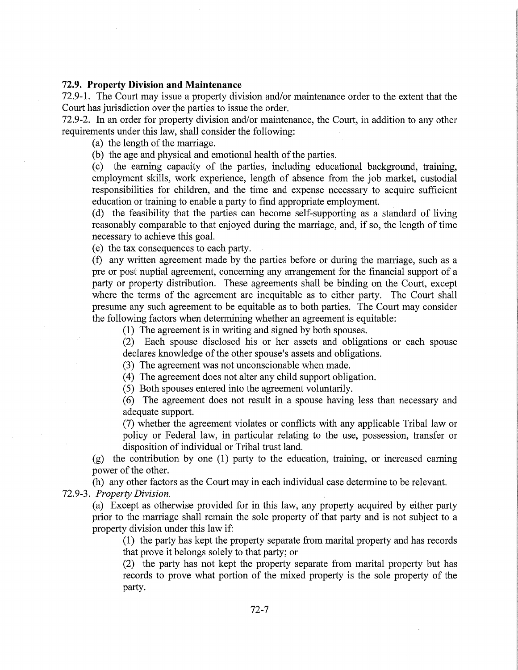## **72.9. Property Division and Maintenance**

72.9-1. The Court may issue a property division and/or maintenance order to the extent that the Court has jurisdiction over the parties to issue the order.

72.9-2. In an order for property division and/or maintenance, the Court, in addition to any other requirements under this law, shall consider the following:

(a) the length of the marriage.

(b) the age and physical and emotional health of the parties.

(c) the earning capacity of the parties, including educational background, training, employment skills, work experience, length of absence from the job market, custodial responsibilities for children, and the time and expense necessary to acquire sufficient education or training to enable a party to find appropriate employment.

(d) the feasibility that the parties can become self-supporting as a standard of living reasonably comparable to that enjoyed during the marriage, and, if so, the length of time necessary to achieve this goal.

(e) the tax consequences to each party.

(f) any written agreement made by the parties before or during the marriage, such as a pre or post nuptial agreement, concerning any arrangement for the financial support of a party or property distribution. These agreements shall be binding on the Court, except where the terms of the agreement are inequitable as to either party. The Court shall presume any such agreement to be equitable as to both parties. The Court may consider the following factors when determining whether an agreement is equitable:

(1) The agreement is in writing and signed by both spouses.

(2) Each spouse disclosed his or her assets and obligations or each spouse declares knowledge of the other spouse's assets and obligations.

(3) The agreement was not unconscionable when made.

(4) The agreement does not alter any child support obligation.

(5) Both spouses entered into the agreement voluntarily.

( 6) The agreement does not result in a spouse having less than necessary and adequate support.

(7) whether the agreement violates or conflicts with any applicable Tribal law or policy or Federal law, in particular relating to the use, possession, transfer or disposition of individual or Tribal trust land.

(g) the contribution by one (1) party to the education, training, or increased earning power of the other.

(h) any other factors as the Court may in each individual case determine to be relevant.

72.9-3. *Property Division.* 

(a) Except as otherwise provided for in this law, any property acquired by either party prior to the marriage shall remain the sole property of that party and is not subject to a property division under this law if:

(1) the party has kept the property separate from marital property and has records that prove it belongs solely to that party; or

(2) the party has not kept the property separate from marital property but has records to prove what portion of the mixed property is the sole property of the party.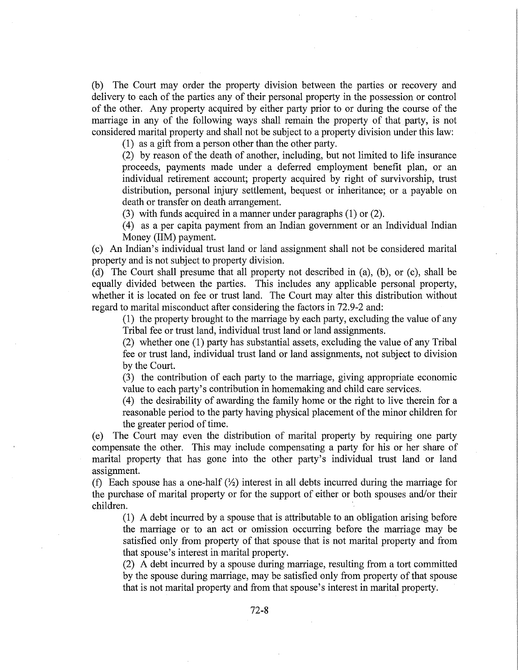(b) The Court may order the property division between the parties or recovery and delivery to each of the parties any of their personal property in the possession or control of the other. Any property acquired by either party prior to or during the course of the marriage in any of the following ways shall remain the property of that party, is not considered marital property and shall not be subject to a property division under this law:

(1) as a gift from a person other than the other party.

(2) by reason of the death of another, including, but not limited to life insurance proceeds, payments made under a deferred employment benefit plan, or an individual retirement account; property acquired by right of survivorship, trust distribution, personal injury settlement, bequest or inheritance; or a payable on death or transfer on death arrangement.

(3) with funds acquired in a manner under paragraphs (1) or (2).

(4) as a per capita payment from an Indian government or an Individual Indian Money (liM) payment.

(c) An Indian's individual trust land or land assignment shall not be considered marital property and is not subject to property division.

(d) The Court shall presume that all property not described in (a), (b), or (c), shall be equally divided between the parties. This includes any applicable personal property, whether it is located on fee or trust land. The Court may alter this distribution without regard to marital misconduct after considering the factors in 72.9-2 and:

(1) the property brought to the marriage by each party, excluding the value of any Tribal fee or trust land, individual trust land or land assignments.

(2) whether one (1) party has substantial assets, excluding the value of any Tribal fee or trust land, individual trust land or land assignments, not subject to division by the Court.

(3) the contribution of each party to the marriage, giving appropriate economic value to each party's contribution in homemaking and child care services.

(4) the desirability of awarding the family home or the right to live therein for a reasonable period to the party having physical placement of the minor children for the greater period of time.

(e) The Court may even the distribution of marital property by requiring one party compensate the other. This may include compensating a party for his or her share of marital property that has gone into the other party's individual trust land or land assignment.

(f) Each spouse has a one-half  $(\frac{1}{2})$  interest in all debts incurred during the marriage for the purchase of marital property or for the support of either or both spouses and/or their children.

(1) A debt incurred by a spouse that is attributable to an obligation arising before the marriage or to an act or omission occurring before the marriage may be satisfied only from property of that spouse that is not marital property and from that spouse's interest in marital property.

(2) A debt incurred by a spouse during marriage, resulting from a tort committed by the spouse during marriage, may be satisfied only from property of that spouse that is not marital property and from that spouse's interest in marital property.